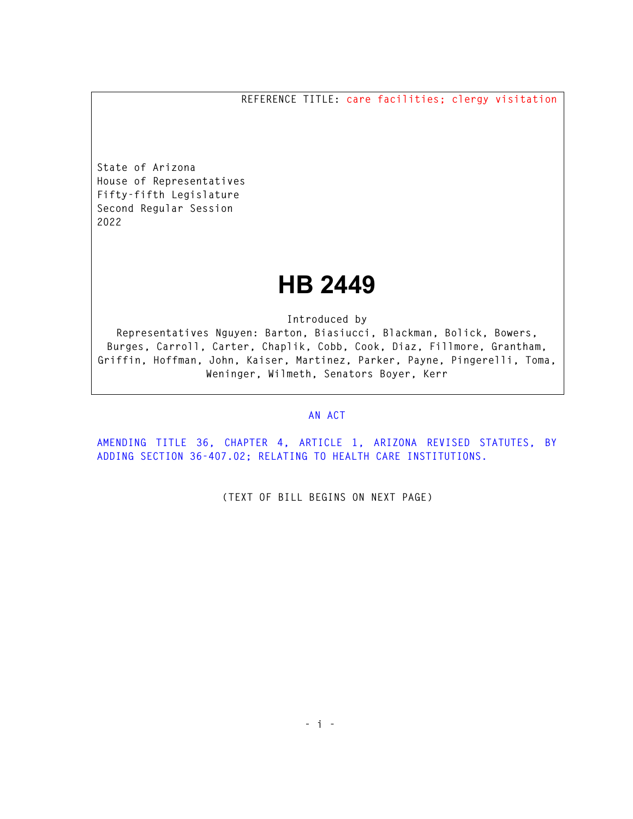**REFERENCE TITLE: care facilities; clergy visitation** 

**State of Arizona House of Representatives Fifty-fifth Legislature Second Regular Session 2022** 

## **HB 2449**

**Introduced by** 

**Representatives Nguyen: Barton, Biasiucci, Blackman, Bolick, Bowers, Burges, Carroll, Carter, Chaplik, Cobb, Cook, Diaz, Fillmore, Grantham, Griffin, Hoffman, John, Kaiser, Martinez, Parker, Payne, Pingerelli, Toma, Weninger, Wilmeth, Senators Boyer, Kerr** 

## **AN ACT**

**AMENDING TITLE 36, CHAPTER 4, ARTICLE 1, ARIZONA REVISED STATUTES, BY ADDING SECTION 36-407.02; RELATING TO HEALTH CARE INSTITUTIONS.** 

**(TEXT OF BILL BEGINS ON NEXT PAGE)**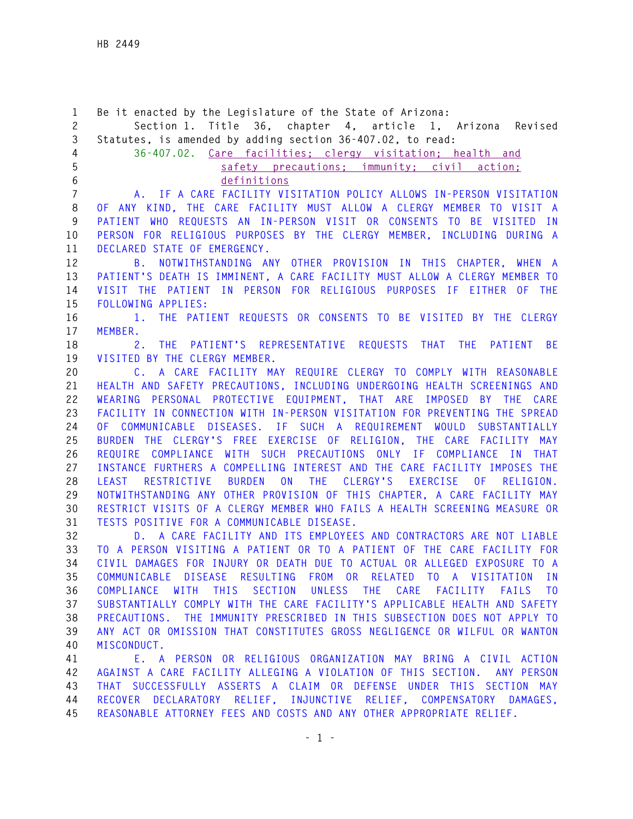**1 Be it enacted by the Legislature of the State of Arizona: 2 Section 1. Title 36, chapter 4, article 1, Arizona Revised 3 Statutes, is amended by adding section 36-407.02, to read: 4 36-407.02. Care facilities; clergy visitation; health and 5 safety precautions; immunity; civil action; 6 definitions 7 A. IF A CARE FACILITY VISITATION POLICY ALLOWS IN-PERSON VISITATION 8 OF ANY KIND, THE CARE FACILITY MUST ALLOW A CLERGY MEMBER TO VISIT A 9 PATIENT WHO REQUESTS AN IN-PERSON VISIT OR CONSENTS TO BE VISITED IN 10 PERSON FOR RELIGIOUS PURPOSES BY THE CLERGY MEMBER, INCLUDING DURING A 11 DECLARED STATE OF EMERGENCY. 12 B. NOTWITHSTANDING ANY OTHER PROVISION IN THIS CHAPTER, WHEN A 13 PATIENT'S DEATH IS IMMINENT, A CARE FACILITY MUST ALLOW A CLERGY MEMBER TO 14 VISIT THE PATIENT IN PERSON FOR RELIGIOUS PURPOSES IF EITHER OF THE 15 FOLLOWING APPLIES: 16 1. THE PATIENT REQUESTS OR CONSENTS TO BE VISITED BY THE CLERGY 17 MEMBER. 18 2. THE PATIENT'S REPRESENTATIVE REQUESTS THAT THE PATIENT BE 19 VISITED BY THE CLERGY MEMBER. 20 C. A CARE FACILITY MAY REQUIRE CLERGY TO COMPLY WITH REASONABLE 21 HEALTH AND SAFETY PRECAUTIONS, INCLUDING UNDERGOING HEALTH SCREENINGS AND 22 WEARING PERSONAL PROTECTIVE EQUIPMENT, THAT ARE IMPOSED BY THE CARE 23 FACILITY IN CONNECTION WITH IN-PERSON VISITATION FOR PREVENTING THE SPREAD 24 OF COMMUNICABLE DISEASES. IF SUCH A REQUIREMENT WOULD SUBSTANTIALLY 25 BURDEN THE CLERGY'S FREE EXERCISE OF RELIGION, THE CARE FACILITY MAY 26 REQUIRE COMPLIANCE WITH SUCH PRECAUTIONS ONLY IF COMPLIANCE IN THAT 27 INSTANCE FURTHERS A COMPELLING INTEREST AND THE CARE FACILITY IMPOSES THE 28 LEAST RESTRICTIVE BURDEN ON THE CLERGY'S EXERCISE OF RELIGION. 29 NOTWITHSTANDING ANY OTHER PROVISION OF THIS CHAPTER, A CARE FACILITY MAY 30 RESTRICT VISITS OF A CLERGY MEMBER WHO FAILS A HEALTH SCREENING MEASURE OR 31 TESTS POSITIVE FOR A COMMUNICABLE DISEASE. 32 D. A CARE FACILITY AND ITS EMPLOYEES AND CONTRACTORS ARE NOT LIABLE 33 TO A PERSON VISITING A PATIENT OR TO A PATIENT OF THE CARE FACILITY FOR 34 CIVIL DAMAGES FOR INJURY OR DEATH DUE TO ACTUAL OR ALLEGED EXPOSURE TO A 35 COMMUNICABLE DISEASE RESULTING FROM OR RELATED TO A VISITATION IN 36 COMPLIANCE WITH THIS SECTION UNLESS THE CARE FACILITY FAILS TO 37 SUBSTANTIALLY COMPLY WITH THE CARE FACILITY'S APPLICABLE HEALTH AND SAFETY 38 PRECAUTIONS. THE IMMUNITY PRESCRIBED IN THIS SUBSECTION DOES NOT APPLY TO 39 ANY ACT OR OMISSION THAT CONSTITUTES GROSS NEGLIGENCE OR WILFUL OR WANTON 40 MISCONDUCT. 41 E. A PERSON OR RELIGIOUS ORGANIZATION MAY BRING A CIVIL ACTION 42 AGAINST A CARE FACILITY ALLEGING A VIOLATION OF THIS SECTION. ANY PERSON 43 THAT SUCCESSFULLY ASSERTS A CLAIM OR DEFENSE UNDER THIS SECTION MAY 44 RECOVER DECLARATORY RELIEF, INJUNCTIVE RELIEF, COMPENSATORY DAMAGES,** 

**45 REASONABLE ATTORNEY FEES AND COSTS AND ANY OTHER APPROPRIATE RELIEF.**